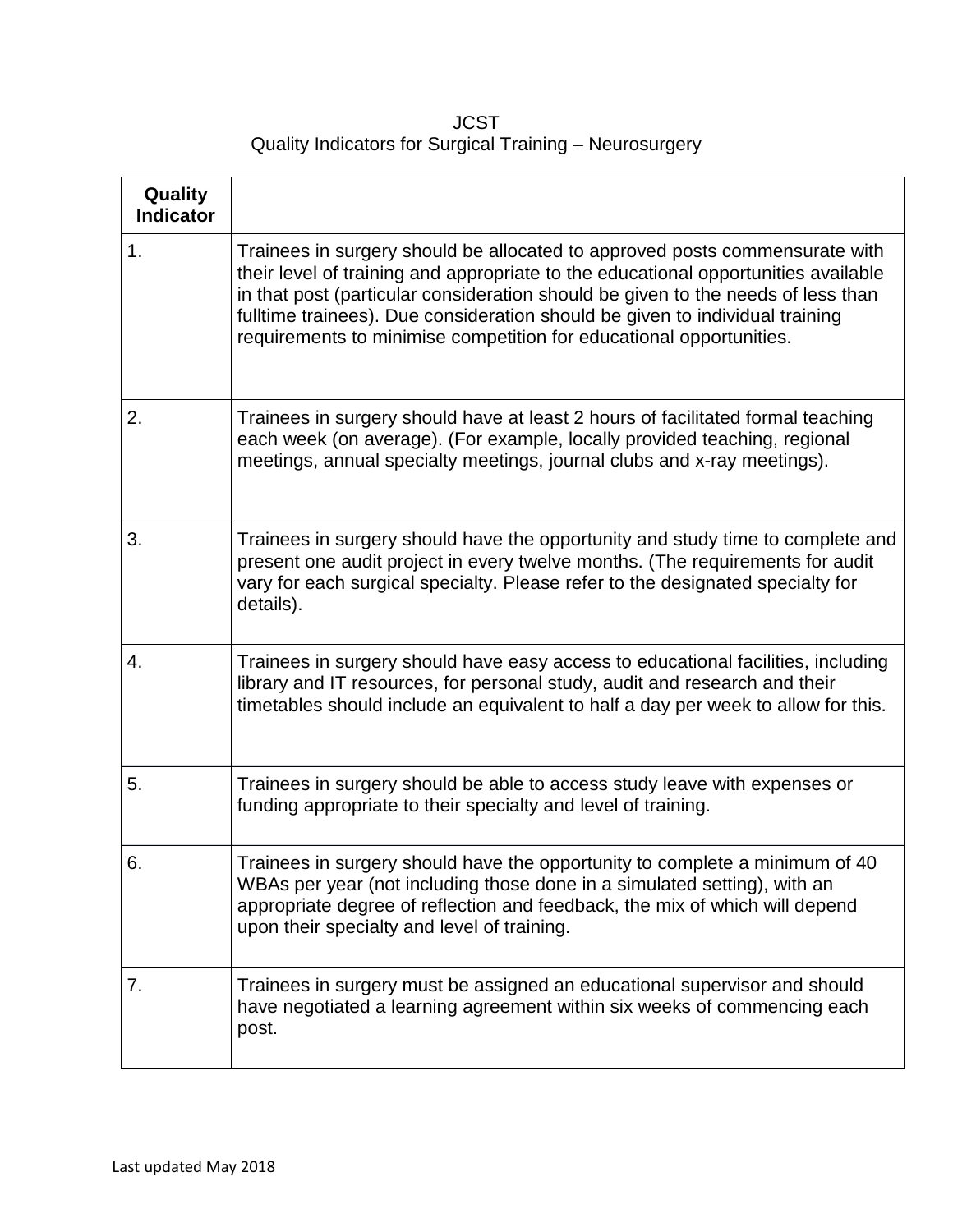**JCST** Quality Indicators for Surgical Training – Neurosurgery

| Quality<br><b>Indicator</b> |                                                                                                                                                                                                                                                                                                                                                                                                              |
|-----------------------------|--------------------------------------------------------------------------------------------------------------------------------------------------------------------------------------------------------------------------------------------------------------------------------------------------------------------------------------------------------------------------------------------------------------|
| 1.                          | Trainees in surgery should be allocated to approved posts commensurate with<br>their level of training and appropriate to the educational opportunities available<br>in that post (particular consideration should be given to the needs of less than<br>fulltime trainees). Due consideration should be given to individual training<br>requirements to minimise competition for educational opportunities. |
| 2.                          | Trainees in surgery should have at least 2 hours of facilitated formal teaching<br>each week (on average). (For example, locally provided teaching, regional<br>meetings, annual specialty meetings, journal clubs and x-ray meetings).                                                                                                                                                                      |
| 3.                          | Trainees in surgery should have the opportunity and study time to complete and<br>present one audit project in every twelve months. (The requirements for audit<br>vary for each surgical specialty. Please refer to the designated specialty for<br>details).                                                                                                                                               |
| 4.                          | Trainees in surgery should have easy access to educational facilities, including<br>library and IT resources, for personal study, audit and research and their<br>timetables should include an equivalent to half a day per week to allow for this.                                                                                                                                                          |
| 5.                          | Trainees in surgery should be able to access study leave with expenses or<br>funding appropriate to their specialty and level of training.                                                                                                                                                                                                                                                                   |
| 6.                          | Trainees in surgery should have the opportunity to complete a minimum of 40<br>WBAs per year (not including those done in a simulated setting), with an<br>appropriate degree of reflection and feedback, the mix of which will depend<br>upon their specialty and level of training.                                                                                                                        |
| 7.                          | Trainees in surgery must be assigned an educational supervisor and should<br>have negotiated a learning agreement within six weeks of commencing each<br>post.                                                                                                                                                                                                                                               |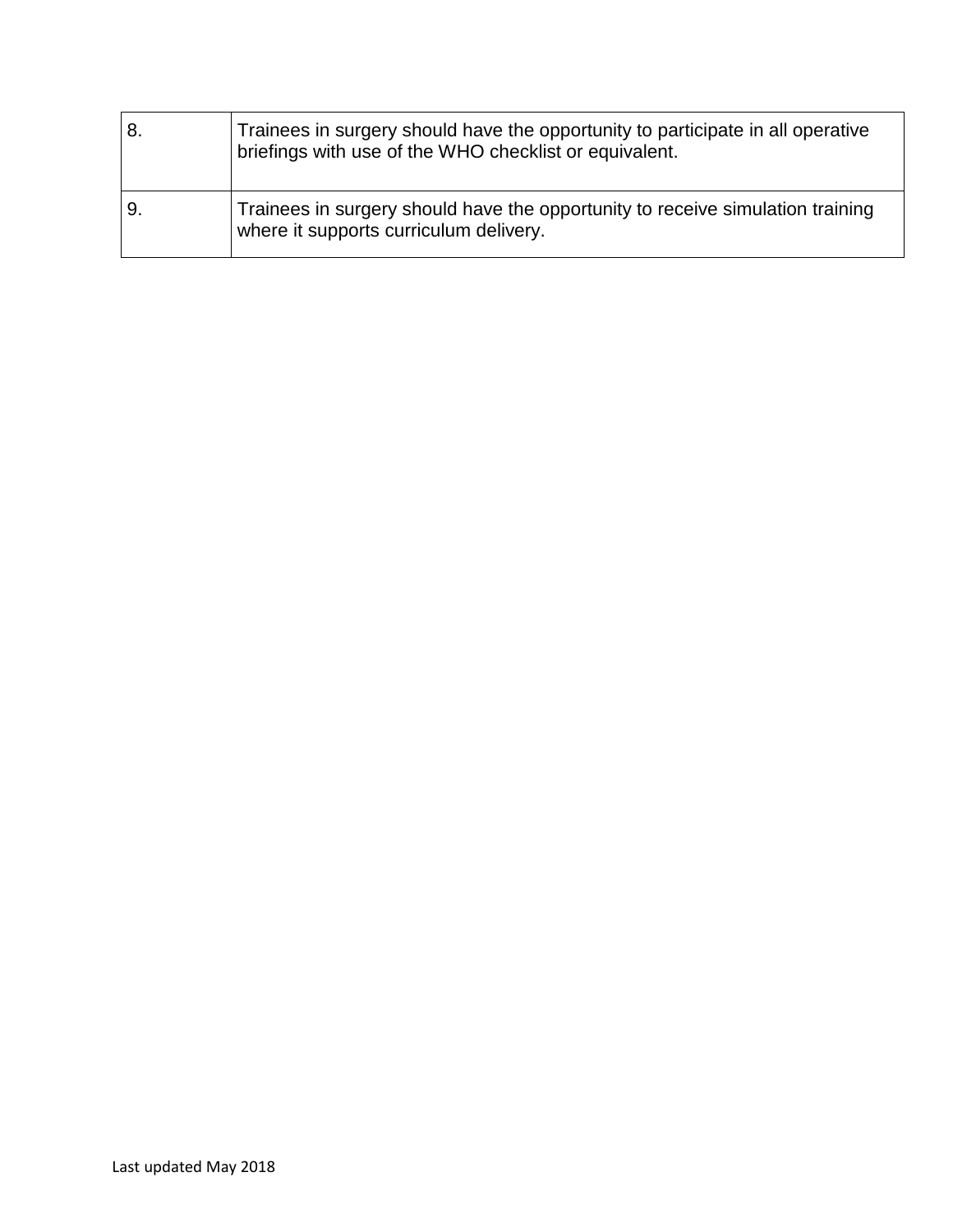| 8 | Trainees in surgery should have the opportunity to participate in all operative<br>briefings with use of the WHO checklist or equivalent. |
|---|-------------------------------------------------------------------------------------------------------------------------------------------|
| 9 | Trainees in surgery should have the opportunity to receive simulation training<br>where it supports curriculum delivery.                  |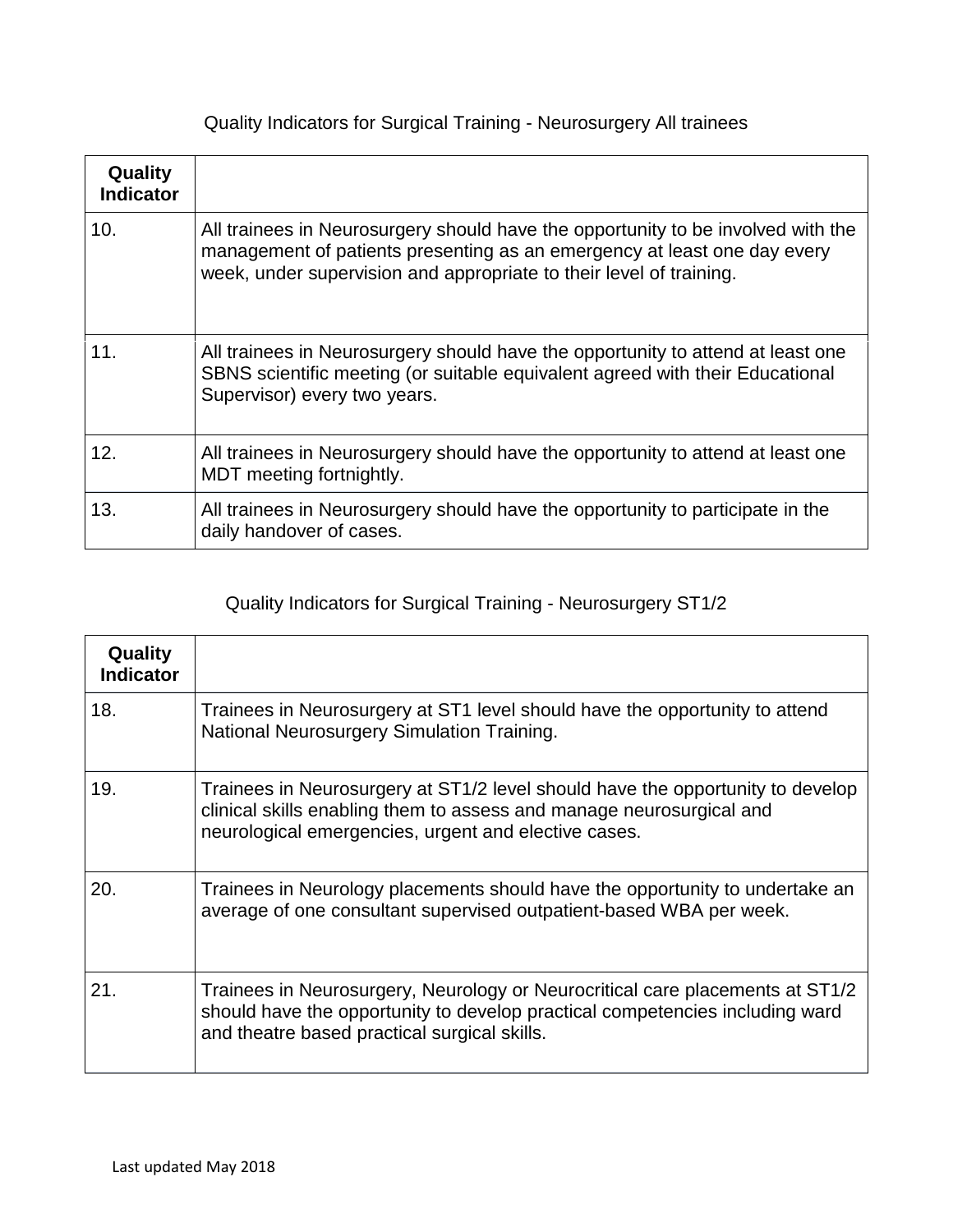Quality Indicators for Surgical Training - Neurosurgery All trainees

| Quality<br><b>Indicator</b> |                                                                                                                                                                                                                                     |
|-----------------------------|-------------------------------------------------------------------------------------------------------------------------------------------------------------------------------------------------------------------------------------|
| 10.                         | All trainees in Neurosurgery should have the opportunity to be involved with the<br>management of patients presenting as an emergency at least one day every<br>week, under supervision and appropriate to their level of training. |
| 11.                         | All trainees in Neurosurgery should have the opportunity to attend at least one<br>SBNS scientific meeting (or suitable equivalent agreed with their Educational<br>Supervisor) every two years.                                    |
| 12.                         | All trainees in Neurosurgery should have the opportunity to attend at least one<br>MDT meeting fortnightly.                                                                                                                         |
| 13.                         | All trainees in Neurosurgery should have the opportunity to participate in the<br>daily handover of cases.                                                                                                                          |

## Quality Indicators for Surgical Training - Neurosurgery ST1/2

| Quality<br><b>Indicator</b> |                                                                                                                                                                                                                |
|-----------------------------|----------------------------------------------------------------------------------------------------------------------------------------------------------------------------------------------------------------|
| 18.                         | Trainees in Neurosurgery at ST1 level should have the opportunity to attend<br>National Neurosurgery Simulation Training.                                                                                      |
| 19.                         | Trainees in Neurosurgery at ST1/2 level should have the opportunity to develop<br>clinical skills enabling them to assess and manage neurosurgical and<br>neurological emergencies, urgent and elective cases. |
| 20.                         | Trainees in Neurology placements should have the opportunity to undertake an<br>average of one consultant supervised outpatient-based WBA per week.                                                            |
| 21.                         | Trainees in Neurosurgery, Neurology or Neurocritical care placements at ST1/2<br>should have the opportunity to develop practical competencies including ward<br>and theatre based practical surgical skills.  |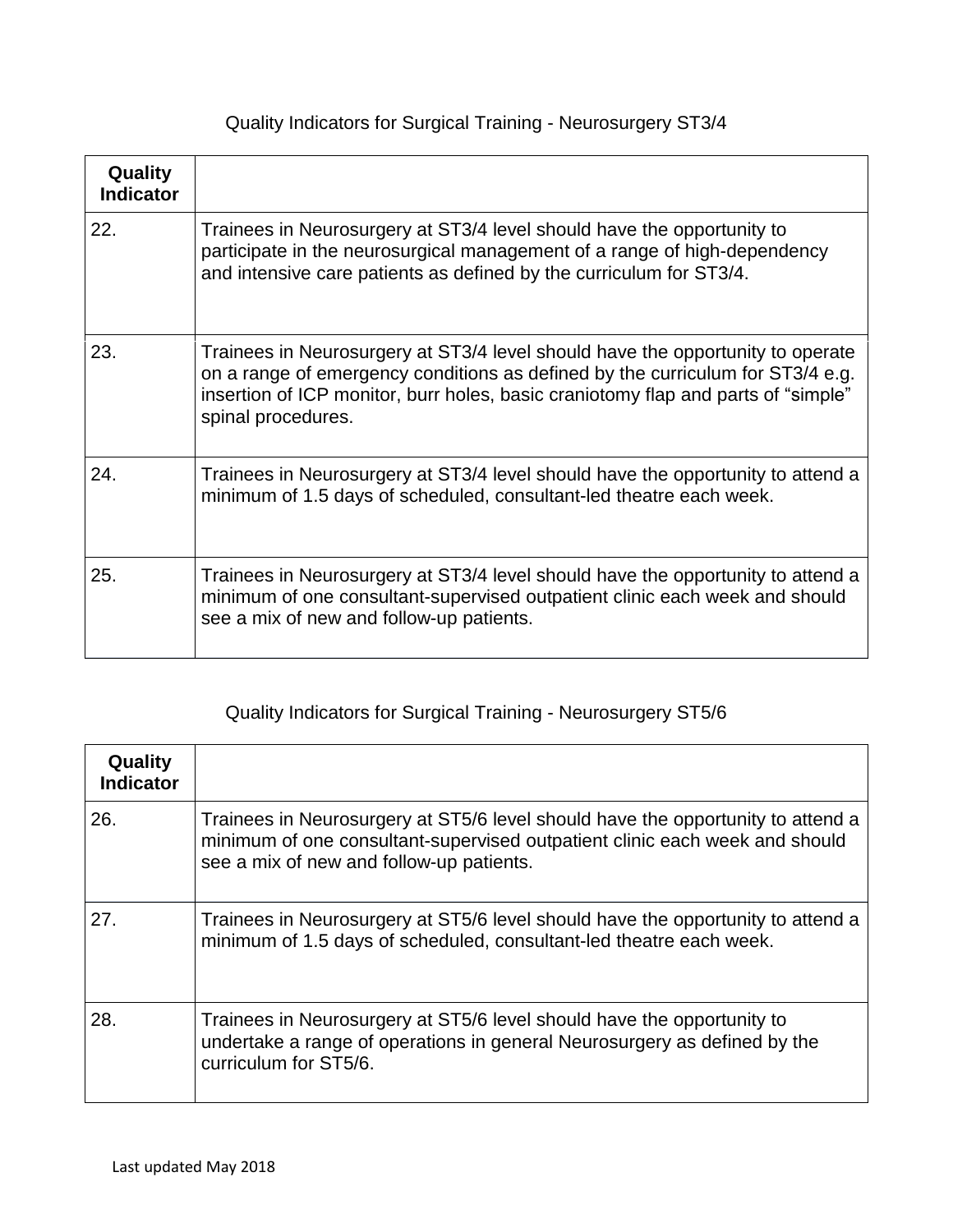|  |  |  |  |  | Quality Indicators for Surgical Training - Neurosurgery ST3/4 |  |
|--|--|--|--|--|---------------------------------------------------------------|--|
|--|--|--|--|--|---------------------------------------------------------------|--|

| Quality<br><b>Indicator</b> |                                                                                                                                                                                                                                                                             |
|-----------------------------|-----------------------------------------------------------------------------------------------------------------------------------------------------------------------------------------------------------------------------------------------------------------------------|
| 22.                         | Trainees in Neurosurgery at ST3/4 level should have the opportunity to<br>participate in the neurosurgical management of a range of high-dependency<br>and intensive care patients as defined by the curriculum for ST3/4.                                                  |
| 23.                         | Trainees in Neurosurgery at ST3/4 level should have the opportunity to operate<br>on a range of emergency conditions as defined by the curriculum for ST3/4 e.g.<br>insertion of ICP monitor, burr holes, basic craniotomy flap and parts of "simple"<br>spinal procedures. |
| 24.                         | Trainees in Neurosurgery at ST3/4 level should have the opportunity to attend a<br>minimum of 1.5 days of scheduled, consultant-led theatre each week.                                                                                                                      |
| 25.                         | Trainees in Neurosurgery at ST3/4 level should have the opportunity to attend a<br>minimum of one consultant-supervised outpatient clinic each week and should<br>see a mix of new and follow-up patients.                                                                  |

## Quality Indicators for Surgical Training - Neurosurgery ST5/6

| Quality<br><b>Indicator</b> |                                                                                                                                                                                                            |
|-----------------------------|------------------------------------------------------------------------------------------------------------------------------------------------------------------------------------------------------------|
| 26.                         | Trainees in Neurosurgery at ST5/6 level should have the opportunity to attend a<br>minimum of one consultant-supervised outpatient clinic each week and should<br>see a mix of new and follow-up patients. |
| 27.                         | Trainees in Neurosurgery at ST5/6 level should have the opportunity to attend a<br>minimum of 1.5 days of scheduled, consultant-led theatre each week.                                                     |
| 28.                         | Trainees in Neurosurgery at ST5/6 level should have the opportunity to<br>undertake a range of operations in general Neurosurgery as defined by the<br>curriculum for ST5/6.                               |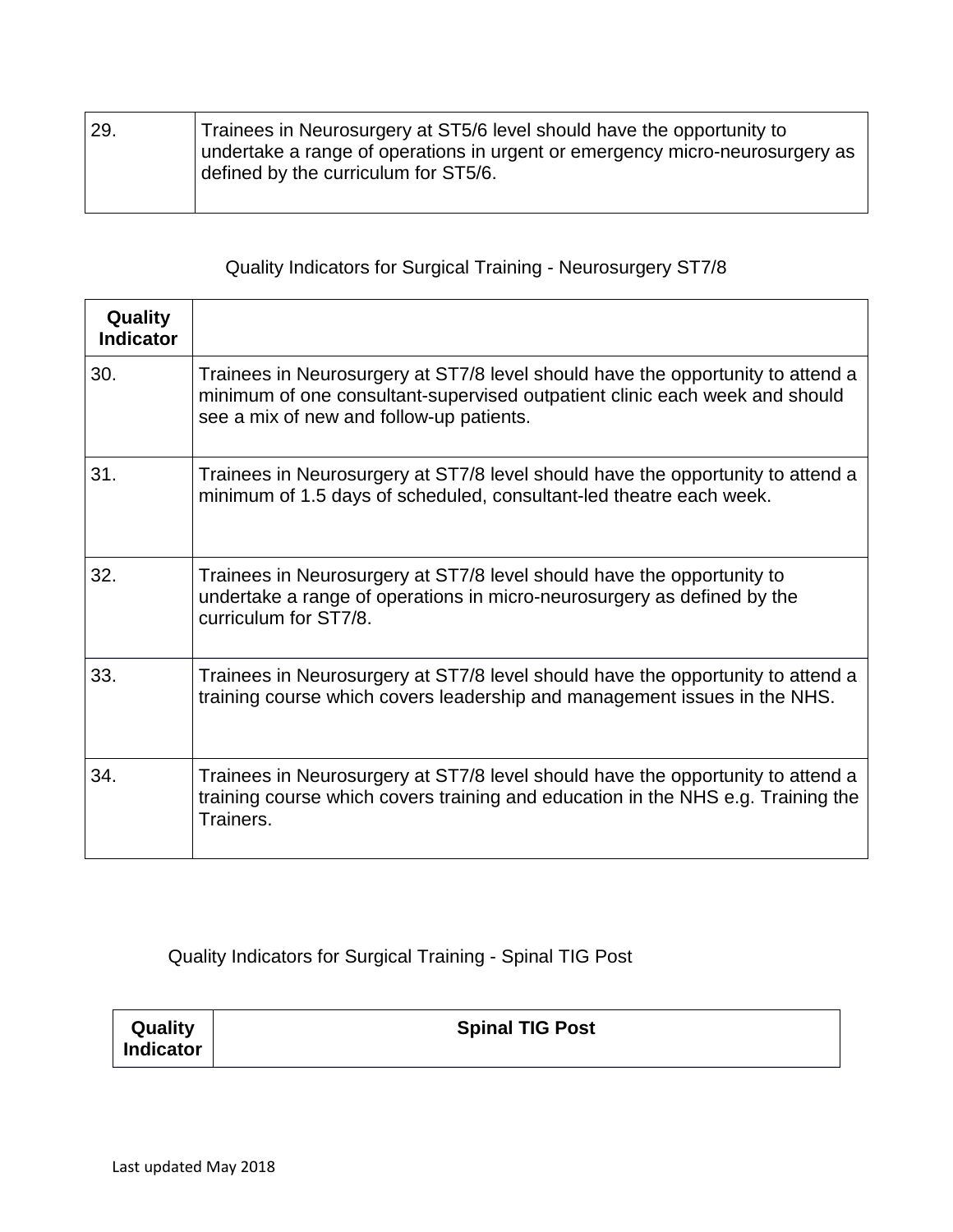| 29. | Trainees in Neurosurgery at ST5/6 level should have the opportunity to<br>undertake a range of operations in urgent or emergency micro-neurosurgery as |
|-----|--------------------------------------------------------------------------------------------------------------------------------------------------------|
|     | defined by the curriculum for ST5/6.                                                                                                                   |

## Quality Indicators for Surgical Training - Neurosurgery ST7/8

| Quality<br><b>Indicator</b> |                                                                                                                                                                                                            |
|-----------------------------|------------------------------------------------------------------------------------------------------------------------------------------------------------------------------------------------------------|
| 30.                         | Trainees in Neurosurgery at ST7/8 level should have the opportunity to attend a<br>minimum of one consultant-supervised outpatient clinic each week and should<br>see a mix of new and follow-up patients. |
| 31.                         | Trainees in Neurosurgery at ST7/8 level should have the opportunity to attend a<br>minimum of 1.5 days of scheduled, consultant-led theatre each week.                                                     |
| 32.                         | Trainees in Neurosurgery at ST7/8 level should have the opportunity to<br>undertake a range of operations in micro-neurosurgery as defined by the<br>curriculum for ST7/8.                                 |
| 33.                         | Trainees in Neurosurgery at ST7/8 level should have the opportunity to attend a<br>training course which covers leadership and management issues in the NHS.                                               |
| 34.                         | Trainees in Neurosurgery at ST7/8 level should have the opportunity to attend a<br>training course which covers training and education in the NHS e.g. Training the<br>Trainers.                           |

Quality Indicators for Surgical Training - Spinal TIG Post

| Quality          | <b>Spinal TIG Post</b> |
|------------------|------------------------|
| <b>Indicator</b> |                        |